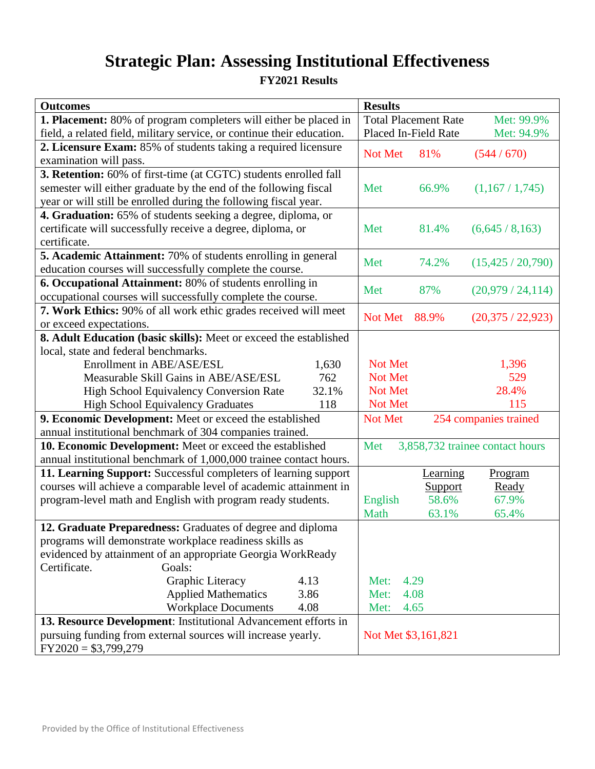## **Strategic Plan: Assessing Institutional Effectiveness**

**FY2021 Results**

| <b>Outcomes</b>                                                         | <b>Results</b>                            |
|-------------------------------------------------------------------------|-------------------------------------------|
| <b>1. Placement:</b> 80% of program completers will either be placed in | <b>Total Placement Rate</b><br>Met: 99.9% |
| field, a related field, military service, or continue their education.  | Placed In-Field Rate<br>Met: 94.9%        |
| 2. Licensure Exam: 85% of students taking a required licensure          | Not Met<br>81%<br>(544/670)               |
| examination will pass.                                                  |                                           |
| 3. Retention: 60% of first-time (at CGTC) students enrolled fall        |                                           |
| semester will either graduate by the end of the following fiscal        | Met<br>66.9%<br>(1,167/1,745)             |
| year or will still be enrolled during the following fiscal year.        |                                           |
| 4. Graduation: 65% of students seeking a degree, diploma, or            |                                           |
| certificate will successfully receive a degree, diploma, or             | Met<br>81.4%<br>(6,645/8,163)             |
| certificate.                                                            |                                           |
| <b>5. Academic Attainment:</b> 70% of students enrolling in general     | (15,425 / 20,790)<br>Met<br>74.2%         |
| education courses will successfully complete the course.                |                                           |
| 6. Occupational Attainment: 80% of students enrolling in                | Met<br>87%<br>(20,979/24,114)             |
| occupational courses will successfully complete the course.             |                                           |
| 7. Work Ethics: 90% of all work ethic grades received will meet         | Not Met<br>88.9%<br>(20,375/22,923)       |
| or exceed expectations.                                                 |                                           |
| 8. Adult Education (basic skills): Meet or exceed the established       |                                           |
| local, state and federal benchmarks.                                    |                                           |
| Enrollment in ABE/ASE/ESL<br>1,630                                      | Not Met<br>1,396                          |
| Measurable Skill Gains in ABE/ASE/ESL<br>762                            | Not Met<br>529                            |
| <b>High School Equivalency Conversion Rate</b><br>32.1%                 | Not Met<br>28.4%                          |
| 118<br><b>High School Equivalency Graduates</b>                         | Not Met<br>115                            |
| 9. Economic Development: Meet or exceed the established                 | 254 companies trained<br>Not Met          |
| annual institutional benchmark of 304 companies trained.                |                                           |
| 10. Economic Development: Meet or exceed the established                | 3,858,732 trainee contact hours<br>Met    |
| annual institutional benchmark of 1,000,000 trainee contact hours.      |                                           |
| 11. Learning Support: Successful completers of learning support         | Learning<br>Program                       |
| courses will achieve a comparable level of academic attainment in       | Ready<br>Support                          |
| program-level math and English with program ready students.             | English<br>58.6%<br>67.9%                 |
|                                                                         | Math<br>65.4%<br>63.1%                    |
| 12. Graduate Preparedness: Graduates of degree and diploma              |                                           |
| programs will demonstrate workplace readiness skills as                 |                                           |
| evidenced by attainment of an appropriate Georgia WorkReady             |                                           |
| Certificate.<br>Goals:                                                  |                                           |
| Graphic Literacy<br>4.13                                                | 4.29<br>Met:                              |
| <b>Applied Mathematics</b><br>3.86                                      | 4.08<br>Met:                              |
| <b>Workplace Documents</b><br>4.08                                      | 4.65<br>Met:                              |
| 13. Resource Development: Institutional Advancement efforts in          |                                           |
| pursuing funding from external sources will increase yearly.            | Not Met \$3,161,821                       |
| $FY2020 = $3,799,279$                                                   |                                           |